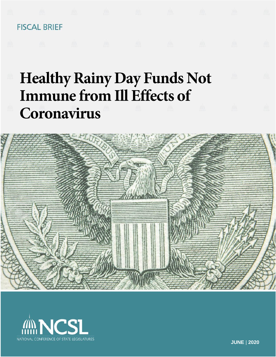

# Immune from Ill Effects of **Coronavirus**



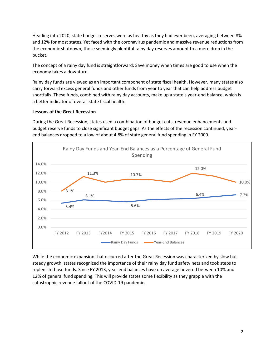Heading into 2020, state budget reserves were as healthy as they had ever been, averaging between 8% and 12% for most states. Yet faced with the coronavirus pandemic and massive revenue reductions from the economic shutdown, those seemingly plentiful rainy day reserves amount to a mere drop in the bucket.

The concept of a rainy day fund is straightforward: Save money when times are good to use when the economy takes a downturn.

Rainy day funds are viewed as an important component of state fiscal health. However, many states also carry forward excess general funds and other funds from year to year that can help address budget shortfalls. These funds, combined with rainy day accounts, make up a state's year-end balance, which is a better indicator of overall state fiscal health.

### **Lessons of the Great Recession**

During the Great Recession, states used a combination of budget cuts, revenue enhancements and budget reserve funds to close significant budget gaps. As the effects of the recession continued, yearend balances dropped to a low of about 4.8% of state general fund spending in FY 2009.



While the economic expansion that occurred after the Great Recession was characterized by slow but steady growth, states recognized the importance of their rainy day fund safety nets and took steps to replenish those funds. Since FY 2013, year-end balances have on average hovered between 10% and 12% of general fund spending. This will provide states some flexibility as they grapple with the catastrophic revenue fallout of the COVID-19 pandemic.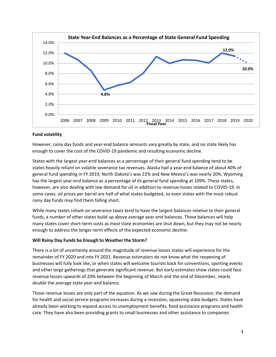

### **Fund volatility**

However, rainy day funds and year-end balance amounts vary greatly by state, and no state likely has enough to cover the cost of the COVID-19 pandemic and resulting economic decline.

States with the largest year-end balances as a percentage of their general fund spending tend to be states heavily reliant on volatile severance tax revenues. Alaska had a year-end balance of about 40% of general fund spending in FY 2019, North Dakota's was 22% and New Mexico's was nearly 20%. Wyoming has the largest year-end balance as a percentage of its general fund spending at 109%. These states, however, are also dealing with low demand for oil in addition to revenue losses related to COVID-19. In some cases, oil prices per barrel are half of what states budgeted, so even states with the most robust rainy day funds may find them falling short.

While many states reliant on severance taxes tend to have the largest balances relative to their general funds, a number of other states build up above average year-end balances. These balances will help many states cover short-term costs as most state economies are shut down, but they may not be nearly enough to address the longer-term effects of the expected economic decline.

#### **Will Rainy Day Funds be Enough to Weather the Storm?**

There is a lot of uncertainty around the magnitude of revenue losses states will experience for the remainder of FY 2020 and into FY 2021. Revenue estimators do not know what the reopening of businesses will fully look like, or when states will welcome tourists back for conventions, sporting events and other large gatherings that generate significant revenue. But early estimates show states could face revenue losses upwards of 20% between the beginning of March and the end of December, nearly double the average state year-end balance.

Those revenue losses are only part of the equation. As we saw during the Great Recession, the demand for health and social service programs increases during a recession, squeezing state budgets. States have already been working to expand access to unemployment benefits, food assistance programs and health care. They have also been providing grants to small businesses and other assistance to companies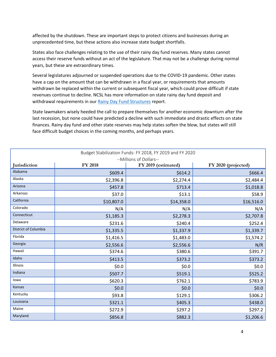affected by the shutdown. These are important steps to protect citizens and businesses during an unprecedented time, but these actions also increase state budget shortfalls.

States also face challenges relating to the use of their rainy day fund reserves. Many states cannot access their reserve funds without an act of the legislature. That may not be a challenge during normal years, but these are extraordinary times.

Several legislatures adjourned or suspended operations due to the COVID-19 pandemic. Other states have a cap on the amount that can be withdrawn in a fiscal year, or requirements that amounts withdrawn be replaced within the current or subsequent fiscal year, which could prove difficult if state revenues continue to decline. NCSL has more information on state rainy day fund deposit and withdrawal requirements in our [Rainy Day Fund Structures](https://www.ncsl.org/Portals/1/Documents/fiscal/RDF_2018_Report.pdf) report.

State lawmakers wisely heeded the call to prepare themselves for another economic downturn after the last recession, but none could have predicted a decline with such immediate and drastic effects on state finances. Rainy day fund and other state reserves may help states soften the blow, but states will still face difficult budget choices in the coming months, and perhaps years.

| Budget Stabilization Funds: FY 2018, FY 2019 and FY 2020 |                |                     |                     |  |  |
|----------------------------------------------------------|----------------|---------------------|---------------------|--|--|
| --Millions of Dollars--                                  |                |                     |                     |  |  |
| Jurisdiction                                             | <b>FY 2018</b> | FY 2019 (estimated) | FY 2020 (projected) |  |  |
| Alabama                                                  | \$609.4        | \$614.2             | \$666.4             |  |  |
| Alaska                                                   | \$2,396.8      | \$2,274.4           | \$2,484.4           |  |  |
| Arizona                                                  | \$457.8        | \$713.4             | \$1,018.8           |  |  |
| Arkansas                                                 | \$37.0         | \$13.1              | \$58.9              |  |  |
| California                                               | \$10,807.0     | \$14,358.0          | \$16,516.0          |  |  |
| Colorado                                                 | N/A            | N/A                 | N/A                 |  |  |
| Connecticut                                              | \$1,185.3      | \$2,278.3           | \$2,707.8           |  |  |
| Delaware                                                 | \$231.6        | \$240.4             | \$252.4             |  |  |
| District of Columbia                                     | \$1,335.5      | \$1,337.9           | \$1,339.7           |  |  |
| Florida                                                  | \$1,416.5      | \$1,483.0           | \$1,574.2           |  |  |
| Georgia                                                  | \$2,556.6      | \$2,556.6           | N/R                 |  |  |
| Hawaii                                                   | \$374.6        | \$380.6             | \$391.7             |  |  |
| Idaho                                                    | \$413.5        | \$373.2             | \$373.2             |  |  |
| Illinois                                                 | \$0.0\$        | \$0.0\$             | \$0.0\$             |  |  |
| Indiana                                                  | \$507.7        | \$519.1             | \$525.2             |  |  |
| lowa                                                     | \$620.3        | \$762.1             | \$783.9             |  |  |
| <b>Kansas</b>                                            | \$0.0\$        | \$0.0               | \$0.0\$             |  |  |
| Kentucky                                                 | \$93.8         | \$129.1             | \$306.2             |  |  |
| Louisiana                                                | \$321.1        | \$405.3             | \$438.0             |  |  |
| Maine                                                    | \$272.9        | \$297.2             | \$297.2             |  |  |
| Maryland                                                 | \$856.8        | \$882.3             | \$1,206.6           |  |  |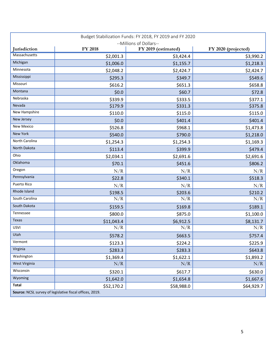| Budget Stabilization Funds: FY 2018, FY 2019 and FY 2020 |                |                                                |                     |  |  |
|----------------------------------------------------------|----------------|------------------------------------------------|---------------------|--|--|
| <b>Jurisdiction</b>                                      | <b>FY 2018</b> | --Millions of Dollars--<br>FY 2019 (estimated) | FY 2020 (projected) |  |  |
| Massachusetts                                            | \$2,001.3      | \$3,424.4                                      | \$3,990.2           |  |  |
| Michigan                                                 | \$1,006.0      | \$1,155.7                                      | \$1,218.3           |  |  |
| Minnesota                                                | \$2,048.2      | \$2,424.7                                      | \$2,424.7           |  |  |
| Mississippi                                              | \$295.3        | \$349.7                                        | \$549.6             |  |  |
| Missouri                                                 | \$616.2        | \$651.3                                        | \$658.8             |  |  |
| Montana                                                  | \$0.0          | \$60.7                                         | \$72.8              |  |  |
| Nebraska                                                 | \$339.9        | \$333.5                                        | \$377.1             |  |  |
| Nevada                                                   | \$179.9        | \$331.3                                        | \$375.8             |  |  |
| New Hampshire                                            | \$110.0        | \$115.0                                        | \$115.0             |  |  |
| New Jersey                                               | \$0.0\$        | \$401.4                                        | \$401.4             |  |  |
| <b>New Mexico</b>                                        | \$526.8        | \$968.1                                        | \$1,473.8           |  |  |
| New York                                                 | \$540.0        | \$790.0                                        | \$1,218.0           |  |  |
| North Carolina                                           | \$1,254.3      | \$1,254.3                                      | \$1,169.3           |  |  |
| North Dakota                                             | \$113.4        | \$399.9                                        | \$479.4             |  |  |
| Ohio                                                     | \$2,034.1      | \$2,691.6                                      | \$2,691.6           |  |  |
| Oklahoma                                                 | \$70.1         | \$451.6                                        | \$806.2             |  |  |
| Oregon                                                   | N/R            | N/R                                            | N/R                 |  |  |
| Pennsylvania                                             | \$22.8         | \$340.1                                        | \$518.3             |  |  |
| Puerto Rico                                              | N/R            | N/R                                            | N/R                 |  |  |
| Rhode Island                                             | \$198.5        | \$203.6                                        | \$210.2             |  |  |
| South Carolina                                           | N/R            | N/R                                            | N/R                 |  |  |
| South Dakota                                             | \$159.5        | \$169.8                                        | \$189.1             |  |  |
| Tennessee                                                | \$800.0        | \$875.0                                        | \$1,100.0           |  |  |
| Texas                                                    | \$11,043.4     | \$6,912.5                                      | \$8,131.7           |  |  |
| <b>USVI</b>                                              | N/R            | N/R                                            | N/R                 |  |  |
| Utah                                                     | \$578.2        | \$663.5                                        | \$757.4             |  |  |
| Vermont                                                  | \$123.3        | \$224.2                                        | \$225.9             |  |  |
| Virginia                                                 | \$283.3        | \$283.3                                        | \$643.8             |  |  |
| Washington                                               | \$1,369.4      | \$1,622.1                                      | \$1,893.2           |  |  |
| West Virginia                                            | N/R            | N/R                                            | N/R                 |  |  |
| Wisconsin                                                | \$320.1        | \$617.7                                        | \$630.0             |  |  |
| Wyoming                                                  | \$1,642.0      | \$1,654.8                                      | \$1,667.6           |  |  |
| <b>Total</b>                                             | \$52,170.2     | \$58,988.0                                     | \$64,929.7          |  |  |
| Source: NCSL survey of legislative fiscal offices, 2019. |                |                                                |                     |  |  |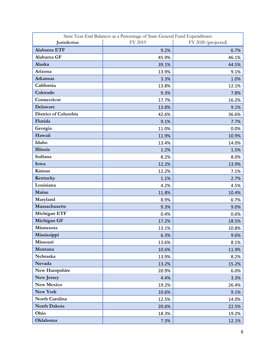| State Year-End Balances as a Percentage of State General Fund Expenditures |         |                     |  |  |  |
|----------------------------------------------------------------------------|---------|---------------------|--|--|--|
| Jurisdiction                                                               | FY 2019 | FY 2020 (projected) |  |  |  |
| Alabama ETF                                                                | 9.2%    | 6.7%                |  |  |  |
| Alabama GF                                                                 | 45.9%   | 46.1%               |  |  |  |
| Alaska                                                                     | 39.1%   | 44.5%               |  |  |  |
| Arizona                                                                    | 13.9%   | 9.1%                |  |  |  |
| <b>Arkansas</b>                                                            | 3.3%    | 1.0%                |  |  |  |
| California                                                                 | 13.8%   | 12.1%               |  |  |  |
| Colorado                                                                   | 9.3%    | 7.8%                |  |  |  |
| Connecticut                                                                | 17.7%   | 16.2%               |  |  |  |
| Delaware                                                                   | 13.8%   | 9.1%                |  |  |  |
| District of Columbia                                                       | 42.6%   | 36.6%               |  |  |  |
| Florida                                                                    | 9.1%    | 7.7%                |  |  |  |
| Georgia                                                                    | 11.0%   | 0.0%                |  |  |  |
| Hawaii                                                                     | 11.9%   | 10.9%               |  |  |  |
| Idaho                                                                      | 13.4%   | 14.0%               |  |  |  |
| <b>Illinois</b>                                                            | 1.2%    | 1.5%                |  |  |  |
| Indiana                                                                    | 8.2%    | 8.0%                |  |  |  |
| Iowa                                                                       | 12.2%   | 13.9%               |  |  |  |
| Kansas                                                                     | 12.2%   | 7.1%                |  |  |  |
| Kentucky                                                                   | 1.1%    | 2.7%                |  |  |  |
| Louisiana                                                                  | 4.2%    | 4.5%                |  |  |  |
| Maine                                                                      | 11.8%   | 10.4%               |  |  |  |
| Maryland                                                                   | 8.9%    | 6.7%                |  |  |  |
| Massachusetts                                                              | 9.3%    | 9.0%                |  |  |  |
| Michigan ETF                                                               | 0.4%    | 0.6%                |  |  |  |
| Michigan GF                                                                | 17.2%   | 18.5%               |  |  |  |
| Minnesota                                                                  | 13.1%   | 10.8%               |  |  |  |
| Mississippi                                                                | 6.3%    | 9.6%                |  |  |  |
| Missouri                                                                   | 13.6%   | 8.1%                |  |  |  |
| Montana                                                                    | 10.6%   | 11.9%               |  |  |  |
| Nebraska                                                                   | 13.9%   | 8.2%                |  |  |  |
| Nevada                                                                     | 13.2%   | 15.2%               |  |  |  |
| New Hampshire                                                              | 20.9%   | 6.0%                |  |  |  |
| New Jersey                                                                 | 4.4%    | 3.3%                |  |  |  |
| <b>New Mexico</b>                                                          | 19.2%   | 26.4%               |  |  |  |
| New York                                                                   | 10.6%   | 9.1%                |  |  |  |
| North Carolina                                                             | 12.5%   | 14.0%               |  |  |  |
| North Dakota                                                               | 20.6%   | 22.5%               |  |  |  |
| Ohio                                                                       | 18.3%   | 19.2%               |  |  |  |
| Oklahoma                                                                   | 7.3%    | 12.1%               |  |  |  |